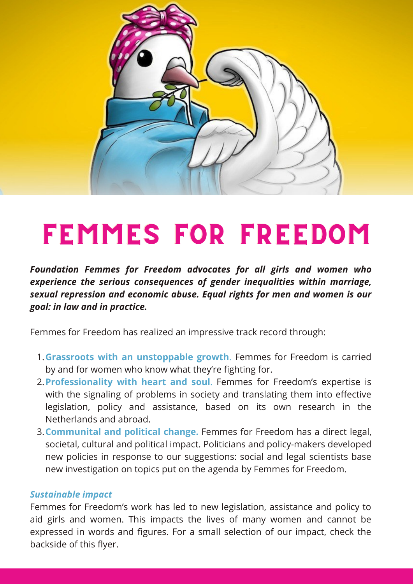

# FEMMES FOR FREEDOM

*Foundation Femmes for Freedom advocates for all girls and women who experience the serious consequences of gender inequalities within marriage, sexual repression and economic abuse. Equal rights for men and women is our goal: in law and in practice.*

Femmes for Freedom has realized an impressive track record through:

- **Grassroots with an unstoppable growth**. Femmes for Freedom is carried 1. by and for women who know what they're fighting for.
- **Professionality with heart and soul**. Femmes for Freedom's expertise is 2. with the signaling of problems in society and translating them into effective legislation, policy and assistance, based on its own research in the Netherlands and abroad.
- **Communital and political change.** Femmes for Freedom has a direct legal, 3. societal, cultural and political impact. Politicians and policy-makers developed new policies in response to our suggestions: social and legal scientists base new investigation on topics put on the agenda by Femmes for Freedom.

# *Sustainable impact*

Femmes for Freedom's work has led to new legislation, assistance and policy to aid girls and women. This impacts the lives of many women and cannot be expressed in words and figures. For a small selection of our impact, check the backside of this flyer.